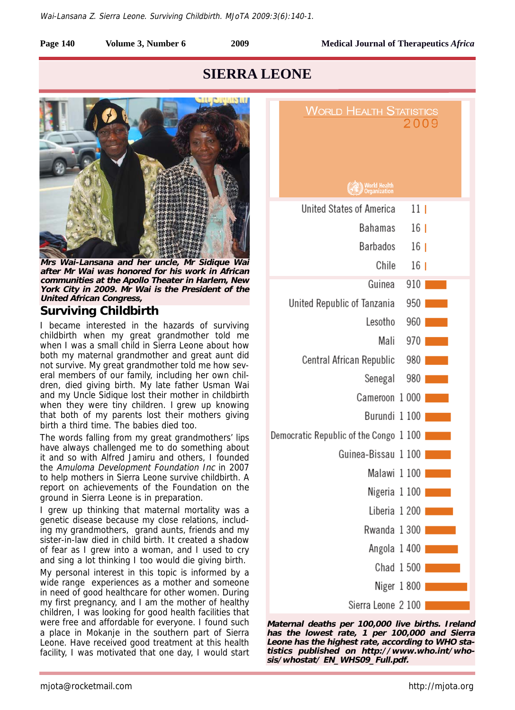

## **SIERRA LEONE**



**Mrs Wai-Lansana and her uncle, Mr Sidique Wai after Mr Wai was honored for his work in African communities at the Apollo Theater in Harlem, New York City in 2009. Mr Wai is the President of the United African Congress,** 

### **Surviving Childbirth**

I became interested in the hazards of surviving childbirth when my great grandmother told me when I was a small child in Sierra Leone about how both my maternal grandmother and great aunt did not survive. My great grandmother told me how several members of our family, including her own children, died giving birth. My late father Usman Wai and my Uncle Sidique lost their mother in childbirth when they were tiny children. I grew up knowing that both of my parents lost their mothers giving birth a third time. The babies died too.

The words falling from my great grandmothers' lips have always challenged me to do something about it and so with Alfred Jamiru and others, I founded the Amuloma Development Foundation Inc in 2007 to help mothers in Sierra Leone survive childbirth. A report on achievements of the Foundation on the ground in Sierra Leone is in preparation.

I grew up thinking that maternal mortality was a genetic disease because my close relations, including my grandmothers, grand aunts, friends and my sister-in-law died in child birth. It created a shadow of fear as I grew into a woman, and I used to cry and sing a lot thinking I too would die giving birth.

My personal interest in this topic is informed by a wide range experiences as a mother and someone in need of good healthcare for other women. During my first pregnancy, and I am the mother of healthy children, I was looking for good health facilities that were free and affordable for everyone. I found such a place in Mokanje in the southern part of Sierra Leone. Have received good treatment at this health facility, I was motivated that one day, I would start

| <b>WORLD HEALTH STATISTICS</b>         |                 |
|----------------------------------------|-----------------|
|                                        | 2009            |
|                                        |                 |
|                                        |                 |
| <b>World Health</b><br>Organization    |                 |
| United States of America               | 11 <sub>1</sub> |
| Bahamas                                | 16 <sup>1</sup> |
| Barbados                               | 16 <sub>1</sub> |
| Chile                                  | 16 <sub>1</sub> |
| Guinea                                 | 910             |
| United Republic of Tanzania            | 950             |
| Lesotho                                | 960             |
| Mali                                   | 970             |
| Central African Republic               | 980             |
| Senegal                                | 980             |
| Cameroon 1000                          |                 |
| Burundi 1 100                          |                 |
| Democratic Republic of the Congo 1 100 |                 |
| Guinea-Bissau 1 100                    |                 |
|                                        | Malawi 1 100    |
|                                        | Nigeria 1100    |
| Liberia 1 200                          |                 |
| Rwanda 1300                            |                 |
|                                        | Angola 1400     |
|                                        | Chad 1 500      |
|                                        | Niger 1 800     |
| Sierra Leone 2 100                     |                 |

**Maternal deaths per 100,000 live births. Ireland has the lowest rate, 1 per 100,000 and Sierra Leone has the highest rate, according to WHO statistics published on http://www.who.int/whosis/whostat/ EN\_WHS09\_Full.pdf.**